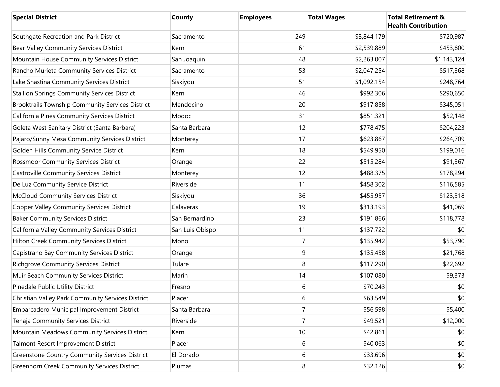| <b>Special District</b>                               | County          | <b>Employees</b> | <b>Total Wages</b> | <b>Total Retirement &amp;</b><br><b>Health Contribution</b> |
|-------------------------------------------------------|-----------------|------------------|--------------------|-------------------------------------------------------------|
| Southgate Recreation and Park District                | Sacramento      | 249              | \$3,844,179        | \$720,987                                                   |
| Bear Valley Community Services District               | Kern            | 61               | \$2,539,889        | \$453,800                                                   |
| Mountain House Community Services District            | San Joaquin     | 48               | \$2,263,007        | \$1,143,124                                                 |
| Rancho Murieta Community Services District            | Sacramento      | 53               | \$2,047,254        | \$517,368                                                   |
| Lake Shastina Community Services District             | Siskiyou        | 51               | \$1,092,154        | \$248,764                                                   |
| <b>Stallion Springs Community Services District</b>   | Kern            | 46               | \$992,306          | \$290,650                                                   |
| Brooktrails Township Community Services District      | Mendocino       | 20               | \$917,858          | \$345,051                                                   |
| California Pines Community Services District          | Modoc           | 31               | \$851,321          | \$52,148                                                    |
| Goleta West Sanitary District (Santa Barbara)         | Santa Barbara   | 12               | \$778,475          | \$204,223                                                   |
| Pajaro/Sunny Mesa Community Services District         | Monterey        | 17               | \$623,867          | \$264,709                                                   |
| Golden Hills Community Service District               | Kern            | 18               | \$549,950          | \$199,016                                                   |
| <b>Rossmoor Community Services District</b>           | Orange          | 22               | \$515,284          | \$91,367                                                    |
| <b>Castroville Community Services District</b>        | Monterey        | 12               | \$488,375          | \$178,294                                                   |
| De Luz Community Service District                     | Riverside       | 11               | \$458,302          | \$116,585                                                   |
| <b>McCloud Community Services District</b>            | Siskiyou        | 36               | \$455,957          | \$123,318                                                   |
| <b>Copper Valley Community Services District</b>      | Calaveras       | 19               | \$313,193          | \$41,069                                                    |
| <b>Baker Community Services District</b>              | San Bernardino  | 23               | \$191,866          | \$118,778                                                   |
| California Valley Community Services District         | San Luis Obispo | 11               | \$137,722          | \$0                                                         |
| Hilton Creek Community Services District              | Mono            | 7                | \$135,942          | \$53,790                                                    |
| Capistrano Bay Community Services District            | Orange          | 9                | \$135,458          | \$21,768                                                    |
| <b>Richgrove Community Services District</b>          | Tulare          | 8                | \$117,290          | \$22,692                                                    |
| Muir Beach Community Services District                | Marin           | 14               | \$107,080          | \$9,373                                                     |
| Pinedale Public Utility District                      | Fresno          | 6                | \$70,243           | \$0                                                         |
| Christian Valley Park Community Services District     | Placer          | 6                | \$63,549           | \$0                                                         |
| Embarcadero Municipal Improvement District            | Santa Barbara   | 7                | \$56,598           | \$5,400                                                     |
| Tenaja Community Services District                    | Riverside       | 7                | \$49,521           | \$12,000                                                    |
| Mountain Meadows Community Services District          | Kern            | 10               | \$42,861           | \$0                                                         |
| Talmont Resort Improvement District                   | Placer          | 6                | \$40,063           | \$0                                                         |
| <b>Greenstone Country Community Services District</b> | El Dorado       | 6                | \$33,696           | \$0                                                         |
| <b>Greenhorn Creek Community Services District</b>    | Plumas          | $\bf{8}$         | \$32,126           | \$0                                                         |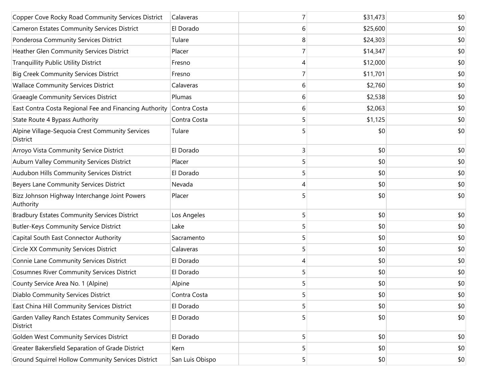| Copper Cove Rocky Road Community Services District          | Calaveras       |   | \$31,473 | \$0 |
|-------------------------------------------------------------|-----------------|---|----------|-----|
| <b>Cameron Estates Community Services District</b>          | El Dorado       | 6 | \$25,600 | \$0 |
| Ponderosa Community Services District                       | Tulare          | 8 | \$24,303 | \$0 |
| Heather Glen Community Services District                    | Placer          |   | \$14,347 | \$0 |
| <b>Tranquillity Public Utility District</b>                 | Fresno          | 4 | \$12,000 | \$0 |
| <b>Big Creek Community Services District</b>                | Fresno          |   | \$11,701 | \$0 |
| <b>Wallace Community Services District</b>                  | Calaveras       | 6 | \$2,760  | \$0 |
| <b>Graeagle Community Services District</b>                 | Plumas          | 6 | \$2,538  | \$0 |
| East Contra Costa Regional Fee and Financing Authority      | Contra Costa    | 6 | \$2,063  | \$0 |
| State Route 4 Bypass Authority                              | Contra Costa    | 5 | \$1,125  | \$0 |
| Alpine Village-Sequoia Crest Community Services<br>District | Tulare          |   | \$0      | \$0 |
| Arroyo Vista Community Service District                     | El Dorado       | 3 | \$0      | \$0 |
| Auburn Valley Community Services District                   | Placer          | 5 | \$0      | \$0 |
| Audubon Hills Community Services District                   | El Dorado       | 5 | \$0      | \$0 |
| Beyers Lane Community Services District                     | Nevada          | 4 | \$0      | \$0 |
| Bizz Johnson Highway Interchange Joint Powers<br>Authority  | Placer          | 5 | \$0      | \$0 |
| <b>Bradbury Estates Community Services District</b>         | Los Angeles     | 5 | \$0      | \$0 |
| <b>Butler-Keys Community Service District</b>               | Lake            | 5 | \$0      | \$0 |
| Capital South East Connector Authority                      | Sacramento      | 5 | \$0      | \$0 |
| <b>Circle XX Community Services District</b>                | Calaveras       | 5 | \$0      | \$0 |
| Connie Lane Community Services District                     | El Dorado       | 4 | \$0      | \$0 |
| <b>Cosumnes River Community Services District</b>           | El Dorado       | 5 | \$0      | \$0 |
| County Service Area No. 1 (Alpine)                          | Alpine          |   | \$0      | \$0 |
| Diablo Community Services District                          | Contra Costa    | 5 | \$0      | \$0 |
| East China Hill Community Services District                 | El Dorado       | 5 | \$0      | \$0 |
| Garden Valley Ranch Estates Community Services<br>District  | El Dorado       | 5 | \$0      | \$0 |
| Golden West Community Services District                     | El Dorado       | 5 | \$0      | \$0 |
| Greater Bakersfield Separation of Grade District            | Kern            | 5 | \$0      | \$0 |
| Ground Squirrel Hollow Community Services District          | San Luis Obispo | 5 | \$0      | \$0 |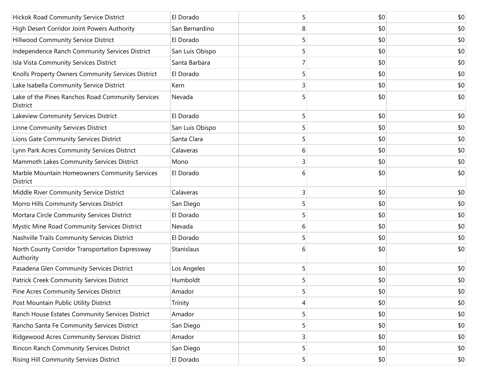| Hickok Road Community Service District                           | El Dorado       | 5 | \$0 | \$0 |
|------------------------------------------------------------------|-----------------|---|-----|-----|
| High Desert Corridor Joint Powers Authority                      | San Bernardino  | 8 | \$0 | \$0 |
| Hillwood Community Service District                              | El Dorado       | 5 | \$0 | \$0 |
| Independence Ranch Community Services District                   | San Luis Obispo | 5 | \$0 | \$0 |
| Isla Vista Community Services District                           | Santa Barbara   |   | \$0 | \$0 |
| Knolls Property Owners Community Services District               | El Dorado       | 5 | \$0 | \$0 |
| Lake Isabella Community Service District                         | Kern            | 3 | \$0 | \$0 |
| Lake of the Pines Ranchos Road Community Services<br>District    | Nevada          | 5 | \$0 | \$0 |
| Lakeview Community Services District                             | El Dorado       | 5 | \$0 | \$0 |
| Linne Community Services District                                | San Luis Obispo | 5 | \$0 | \$0 |
| Lions Gate Community Services District                           | Santa Clara     | 5 | \$0 | \$0 |
| Lynn Park Acres Community Services District                      | Calaveras       | 6 | \$0 | \$0 |
| Mammoth Lakes Community Services District                        | Mono            | 3 | \$0 | \$0 |
| Marble Mountain Homeowners Community Services<br><b>District</b> | El Dorado       | 6 | \$0 | \$0 |
| Middle River Community Service District                          | Calaveras       | 3 | \$0 | \$0 |
| Morro Hills Community Services District                          | San Diego       | 5 | \$0 | \$0 |
| Mortara Circle Community Services District                       | El Dorado       | 5 | \$0 | \$0 |
| Mystic Mine Road Community Services District                     | Nevada          | 6 | \$0 | \$0 |
| Nashville Trails Community Services District                     | El Dorado       | 5 | \$0 | \$0 |
| North County Corridor Transportation Expressway<br>Authority     | Stanislaus      | 6 | \$0 | \$0 |
| Pasadena Glen Community Services District                        | Los Angeles     | 5 | \$0 | \$0 |
| Patrick Creek Community Services District                        | Humboldt        | 5 | \$0 | \$0 |
| Pine Acres Community Services District                           | Amador          | 5 | \$0 | \$0 |
| Post Mountain Public Utility District                            | Trinity         | 4 | \$0 | \$0 |
| Ranch House Estates Community Services District                  | Amador          | 5 | \$0 | \$0 |
| Rancho Santa Fe Community Services District                      | San Diego       | 5 | \$0 | \$0 |
| Ridgewood Acres Community Services District                      | Amador          | 3 | \$0 | \$0 |
| Rincon Ranch Community Services District                         | San Diego       | 5 | \$0 | \$0 |
| Rising Hill Community Services District                          | El Dorado       | 5 | \$0 | \$0 |